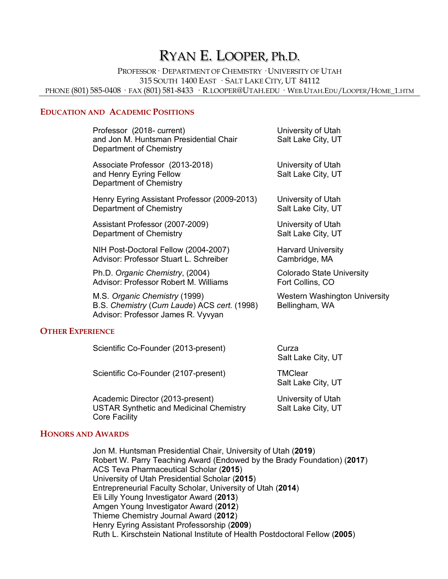# RYAN E. LOOPER, Ph.D.

PROFESSOR· DEPARTMENT OF CHEMISTRY · UNIVERSITY OF UTAH 315 SOUTH 1400 EAST · SALT LAKE CITY, UT 84112 PHONE (801) 585-0408 · FAX (801) 581-8433 · R.LOOPER@UTAH.EDU · WEB.UTAH.EDU/LOOPER/HOME 1.HTM

#### **EDUCATION AND ACADEMIC POSITIONS**

| Professor (2018- current)<br>and Jon M. Huntsman Presidential Chair<br>Department of Chemistry                     | University of Utah<br>Salt Lake City, UT               |
|--------------------------------------------------------------------------------------------------------------------|--------------------------------------------------------|
| Associate Professor (2013-2018)<br>and Henry Eyring Fellow<br>Department of Chemistry                              | University of Utah<br>Salt Lake City, UT               |
| Henry Eyring Assistant Professor (2009-2013)                                                                       | University of Utah                                     |
| Department of Chemistry                                                                                            | Salt Lake City, UT                                     |
| Assistant Professor (2007-2009)                                                                                    | University of Utah                                     |
| Department of Chemistry                                                                                            | Salt Lake City, UT                                     |
| NIH Post-Doctoral Fellow (2004-2007)                                                                               | <b>Harvard University</b>                              |
| Advisor: Professor Stuart L. Schreiber                                                                             | Cambridge, MA                                          |
| Ph.D. Organic Chemistry, (2004)                                                                                    | <b>Colorado State University</b>                       |
| Advisor: Professor Robert M. Williams                                                                              | Fort Collins, CO                                       |
| M.S. Organic Chemistry (1999)<br>B.S. Chemistry (Cum Laude) ACS cert. (1998)<br>Advisor: Professor James R. Vyvyan | <b>Western Washington University</b><br>Bellingham, WA |
| <b>DIDI LOT</b>                                                                                                    |                                                        |

#### **OTHER EXPERIENCE**

| Scientific Co-Founder (2013-present)                                                                       | Curza<br>Salt Lake City, UT              |
|------------------------------------------------------------------------------------------------------------|------------------------------------------|
| Scientific Co-Founder (2107-present)                                                                       | <b>TMClear</b><br>Salt Lake City, UT     |
| Academic Director (2013-present)<br><b>USTAR Synthetic and Medicinal Chemistry</b><br><b>Core Facility</b> | University of Utah<br>Salt Lake City, UT |

#### **HONORS AND AWARDS**

Jon M. Huntsman Presidential Chair, University of Utah (**2019**) Robert W. Parry Teaching Award (Endowed by the Brady Foundation) (**2017**) ACS Teva Pharmaceutical Scholar (**2015**) University of Utah Presidential Scholar (**2015**) Entrepreneurial Faculty Scholar, University of Utah (**2014**) Eli Lilly Young Investigator Award (**2013**) Amgen Young Investigator Award (**2012**) Thieme Chemistry Journal Award (**2012**) Henry Eyring Assistant Professorship (**2009**) Ruth L. Kirschstein National Institute of Health Postdoctoral Fellow (**2005**)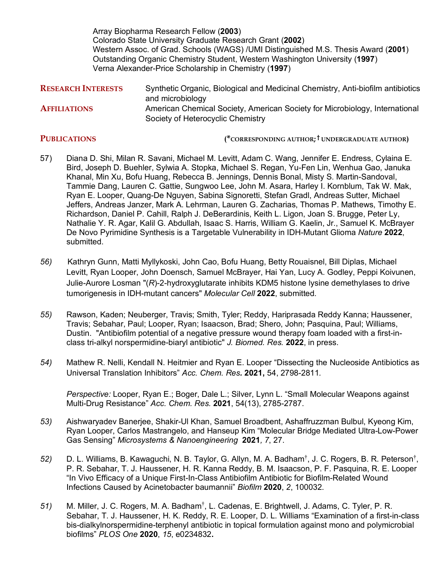Array Biopharma Research Fellow (**2003**) Colorado State University Graduate Research Grant (**2002**) Western Assoc. of Grad. Schools (WAGS) /UMI Distinguished M.S. Thesis Award (**2001**) Outstanding Organic Chemistry Student, Western Washington University (**1997**) Verna Alexander-Price Scholarship in Chemistry (**1997**)

| Synthetic Organic, Biological and Medicinal Chemistry, Anti-biofilm antibiotics |
|---------------------------------------------------------------------------------|
| and microbiology                                                                |
| American Chemical Society, American Society for Microbiology, International     |
| Society of Heterocyclic Chemistry                                               |
|                                                                                 |

**PUBLICATIONS (\*CORRESPONDING AUTHOR; † UNDERGRADUATE AUTHOR)**

- 57) Diana D. Shi, Milan R. Savani, Michael M. Levitt, Adam C. Wang, Jennifer E. Endress, Cylaina E. Bird, Joseph D. Buehler, Sylwia A. Stopka, Michael S. Regan, Yu-Fen Lin, Wenhua Gao, Januka Khanal, Min Xu, Bofu Huang, Rebecca B. Jennings, Dennis Bonal, Misty S. Martin-Sandoval, Tammie Dang, Lauren C. Gattie, Sungwoo Lee, John M. Asara, Harley I. Kornblum, Tak W. Mak, Ryan E. Looper, Quang-De Nguyen, Sabina Signoretti, Stefan Gradl, Andreas Sutter, Michael Jeffers, Andreas Janzer, Mark A. Lehrman, Lauren G. Zacharias, Thomas P. Mathews, Timothy E. Richardson, Daniel P. Cahill, Ralph J. DeBerardinis, Keith L. Ligon, Joan S. Brugge, Peter Ly, Nathalie Y. R. Agar, Kalil G. Abdullah, Isaac S. Harris, William G. Kaelin, Jr., Samuel K. McBrayer De Novo Pyrimidine Synthesis is a Targetable Vulnerability in IDH-Mutant Glioma *Nature* **2022**, submitted.
- *56)*Kathryn Gunn, Matti Myllykoski, John Cao, Bofu Huang, Betty Rouaisnel, Bill Diplas, Michael Levitt, Ryan Looper, John Doensch, Samuel McBrayer, Hai Yan, Lucy A. Godley, Peppi Koivunen, Julie-Aurore Losman "(*R*)-2-hydroxyglutarate inhibits KDM5 histone lysine demethylases to drive tumorigenesis in IDH-mutant cancers" *Molecular Cell* **2022**, submitted.
- *55)* Rawson, Kaden; Neuberger, Travis; Smith, Tyler; Reddy, Hariprasada Reddy Kanna; Haussener, Travis; Sebahar, Paul; Looper, Ryan; Isaacson, Brad; Shero, John; Pasquina, Paul; Williams, Dustin. "Antibiofilm potential of a negative pressure wound therapy foam loaded with a first-inclass tri-alkyl norspermidine-biaryl antibiotic" *J. Biomed. Res.* **2022**, in press.
- *54)* Mathew R. Nelli, Kendall N. Heitmier and Ryan E. Looper "Dissecting the Nucleoside Antibiotics as Universal Translation Inhibitors" *Acc. Chem. Res.* **2021,** 54, 2798-2811*.*

*Perspective:* Looper, Ryan E.; Boger, Dale L.; Silver, Lynn L. "Small Molecular Weapons against Multi-Drug Resistance" *Acc. Chem. Res.* **2021**, 54(13), 2785-2787.

- *53)* Aishwaryadev Banerjee, Shakir-Ul Khan, Samuel Broadbent, Ashaffruzzman Bulbul, Kyeong Kim, Ryan Looper, Carlos Mastrangelo, and Hanseup Kim "Molecular Bridge Mediated Ultra-Low-Power Gas Sensing" *Microsystems & Nanoengineering* **2021***, 7*, 27.
- *52)* D. L. Williams, B. Kawaguchi, N. B. Taylor, G. Allyn, M. A. Badham†, J. C. Rogers, B. R. Peterson†, P. R. Sebahar, T. J. Haussener, H. R. Kanna Reddy, B. M. Isaacson, P. F. Pasquina, R. E. Looper "In Vivo Efficacy of a Unique First-In-Class Antibiofilm Antibiotic for Biofilm-Related Wound Infections Caused by Acinetobacter baumannii" *Biofilm* **2020**, *2*, 100032.
- 51) M. Miller, J. C. Rogers, M. A. Badham<sup>†</sup>, L. Cadenas, E. Brightwell, J. Adams, C. Tyler, P. R. Sebahar, T. J. Haussener, H. K. Reddy, R. E. Looper, D. L. Williams "Examination of a first-in-class bis-dialkylnorspermidine-terphenyl antibiotic in topical formulation against mono and polymicrobial biofilms" *PLOS One* **2020**, *15*, e0234832**.**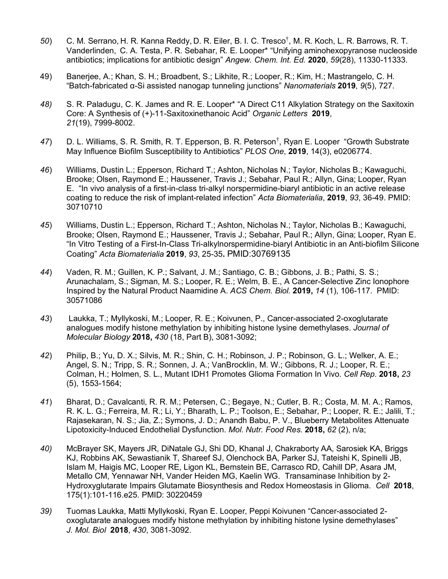- *50*) C. M. Serrano, H. R. Kanna Reddy, D. R. Eiler, B. I. C. Tresco†, M. R. Koch, L. R. Barrows, R. T. Vanderlinden, C. A. Testa, P. R. Sebahar, R. E. Looper\* "Unifying aminohexopyranose nucleoside antibiotics; implications for antibiotic design" *Angew. Chem. Int. Ed.* **2020**, *59*(28), 11330-11333.
- 49) Banerjee, A.; Khan, S. H.; Broadbent, S.; Likhite, R.; Looper, R.; Kim, H.; Mastrangelo, C. H. "Batch-fabricated α-Si assisted nanogap tunneling junctions" *Nanomaterials* **2019**, *9*(5), 727.
- *48)* S. R. Paladugu, C. K. James and R. E. Looper\* "A Direct C11 Alkylation Strategy on the Saxitoxin Core: A Synthesis of (+)-11-Saxitoxinethanoic Acid" *Organic Letters* **2019**, *21*(19), 7999-8002.
- 47) D. L. Williams, S. R. Smith, R. T. Epperson, B. R. Peterson<sup>†</sup>, Ryan E. Looper "Growth Substrate May Influence Biofilm Susceptibility to Antibiotics" *PLOS One*, **2019**, 14(3), e0206774.
- *46*) Williams, Dustin L.; Epperson, Richard T.; Ashton, Nicholas N.; Taylor, Nicholas B.; Kawaguchi, Brooke; Olsen, Raymond E.; Haussener, Travis J.; Sebahar, Paul R.; Allyn, Gina; Looper, Ryan E. "In vivo analysis of a first-in-class tri-alkyl norspermidine-biaryl antibiotic in an active release coating to reduce the risk of implant-related infection" *Acta Biomaterialia*, **2019**, *93*, 36-49. PMID: 30710710
- *45*) Williams, Dustin L.; Epperson, Richard T.; Ashton, Nicholas N.; Taylor, Nicholas B.; Kawaguchi, Brooke; Olsen, Raymond E.; Haussener, Travis J.; Sebahar, Paul R.; Allyn, Gina; Looper, Ryan E. "In Vitro Testing of a First-In-Class Tri-alkylnorspermidine-biaryl Antibiotic in an Anti-biofilm Silicone Coating" *Acta Biomaterialia* **2019**, *93*, 25-35**.** PMID:30769135
- *44*) Vaden, R. M.; Guillen, K. P.; Salvant, J. M.; Santiago, C. B.; Gibbons, J. B.; Pathi, S. S.; Arunachalam, S.; Sigman, M. S.; Looper, R. E.; Welm, B. E., A Cancer-Selective Zinc Ionophore Inspired by the Natural Product Naamidine A. *ACS Chem. Biol.* **2019,** *14* (1), 106-117. PMID: 30571086
- *43*) Laukka, T.; Myllykoski, M.; Looper, R. E.; Koivunen, P., Cancer-associated 2-oxoglutarate analogues modify histone methylation by inhibiting histone lysine demethylases. *Journal of Molecular Biology* **2018,** *430* (18, Part B), 3081-3092;
- *42*) Philip, B.; Yu, D. X.; Silvis, M. R.; Shin, C. H.; Robinson, J. P.; Robinson, G. L.; Welker, A. E.; Angel, S. N.; Tripp, S. R.; Sonnen, J. A.; VanBrocklin, M. W.; Gibbons, R. J.; Looper, R. E.; Colman, H.; Holmen, S. L., Mutant IDH1 Promotes Glioma Formation In Vivo. *Cell Rep.* **2018,** *23* (5), 1553-1564;
- *41*) Bharat, D.; Cavalcanti, R. R. M.; Petersen, C.; Begaye, N.; Cutler, B. R.; Costa, M. M. A.; Ramos, R. K. L. G.; Ferreira, M. R.; Li, Y.; Bharath, L. P.; Toolson, E.; Sebahar, P.; Looper, R. E.; Jalili, T.; Rajasekaran, N. S.; Jia, Z.; Symons, J. D.; Anandh Babu, P. V., Blueberry Metabolites Attenuate Lipotoxicity-Induced Endothelial Dysfunction. *Mol. Nutr. Food Res.* **2018,** *62* (2), n/a;
- *40)* McBrayer SK, Mayers JR, DiNatale GJ, Shi DD, Khanal J, Chakraborty AA, Sarosiek KA, Briggs KJ, Robbins AK, Sewastianik T, Shareef SJ, Olenchock BA, Parker SJ, Tateishi K, Spinelli JB, Islam M, Haigis MC, Looper RE, Ligon KL, Bernstein BE, Carrasco RD, Cahill DP, Asara JM, Metallo CM, Yennawar NH, Vander Heiden MG, Kaelin WG. Transaminase Inhibition by 2- Hydroxyglutarate Impairs Glutamate Biosynthesis and Redox Homeostasis in Glioma. *Cell* **2018**, 175(1):101-116.e25. PMID: 30220459
- *39)* Tuomas Laukka, Matti Myllykoski, Ryan E. Looper, Peppi Koivunen "Cancer-associated 2 oxoglutarate analogues modify histone methylation by inhibiting histone lysine demethylases" *J. Mol. Biol* **2018**, *430*, 3081-3092.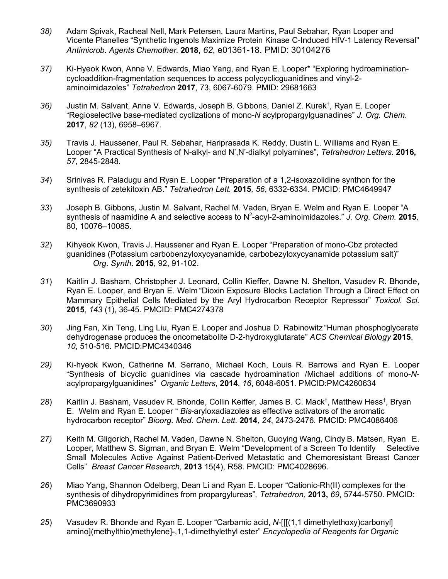- *38)* Adam Spivak, Racheal Nell, Mark Petersen, Laura Martins, Paul Sebahar, Ryan Looper and Vicente Planelles "Synthetic Ingenols Maximize Protein Kinase C-Induced HIV-1 Latency Reversal" *Antimicrob. Agents Chemother.* **2018,** *62*, e01361-18. PMID: 30104276
- *37)* Ki-Hyeok Kwon, Anne V. Edwards, Miao Yang, and Ryan E. Looper\* "Exploring hydroaminationcycloaddition-fragmentation sequences to access polycyclicguanidines and vinyl-2 aminoimidazoles" *Tetrahedron* **2017**, 73, 6067-6079. PMID: 29681663
- 36) Justin M. Salvant, Anne V. Edwards, Joseph B. Gibbons, Daniel Z. Kurek<sup>†</sup>, Ryan E. Looper "Regioselective base-mediated cyclizations of mono-*N* acylpropargylguanadines" *J. Org. Chem*. **2017**, *82* (13), 6958–6967.
- *35)* Travis J. Haussener, Paul R. Sebahar, Hariprasada K. Reddy, Dustin L. Williams and Ryan E. Looper "A Practical Synthesis of N-alkyl- and N',N'-dialkyl polyamines", *Tetrahedron Letters.* **2016,** *57*, 2845-2848.
- *34*) Srinivas R. Paladugu and Ryan E. Looper "Preparation of a 1,2-isoxazolidine synthon for the synthesis of zetekitoxin AB." *Tetrahedron Lett.* **2015***, 56*, 6332-6334. PMCID: PMC4649947
- *33*) Joseph B. Gibbons, Justin M. Salvant, Rachel M. Vaden, Bryan E. Welm and Ryan E. Looper "A synthesis of naamidine A and selective access to N<sup>2</sup>-acyl-2-aminoimidazoles." J. Org. Chem. 2015, 80, 10076–10085.
- *32*) Kihyeok Kwon, Travis J. Haussener and Ryan E. Looper "Preparation of mono-Cbz protected guanidines (Potassium carbobenzyloxycyanamide, carbobezyloxycyanamide potassium salt)" *Org. Synth.* **2015**, 92, 91-102.
- *31*) Kaitlin J. Basham, Christopher J. Leonard, Collin Kieffer, Dawne N. Shelton, Vasudev R. Bhonde, Ryan E. Looper, and Bryan E. Welm "Dioxin Exposure Blocks Lactation Through a Direct Effect on Mammary Epithelial Cells Mediated by the Aryl Hydrocarbon Receptor Repressor" *Toxicol. Sci.* **2015**, *143* (1), 36-45. PMCID: PMC4274378
- *30*) Jing Fan, Xin Teng, Ling Liu, Ryan E. Looper and Joshua D. Rabinowitz "Human phosphoglycerate dehydrogenase produces the oncometabolite D-2-hydroxyglutarate" *ACS Chemical Biology* **2015**, *10*, 510-516. PMCID:PMC4340346
- *29)* Ki-hyeok Kwon, Catherine M. Serrano, Michael Koch, Louis R. Barrows and Ryan E. Looper "Synthesis of bicyclic guanidines via cascade hydroamination /Michael additions of mono-*N*acylpropargylguanidines" *Organic Letters*, **2014**, *16*, 6048-6051. PMCID:PMC4260634
- 28) Kaitlin J. Basham, Vasudev R. Bhonde, Collin Keiffer, James B. C. Mack<sup>†</sup>, Matthew Hess<sup>†</sup>, Bryan E. Welm and Ryan E. Looper " *Bis*-aryloxadiazoles as effective activators of the aromatic hydrocarbon receptor" *Bioorg. Med. Chem. Lett.* **2014***, 24*, 2473-2476*.* PMCID: PMC4086406
- *27)* Keith M. Gligorich, Rachel M. Vaden, Dawne N. Shelton, Guoying Wang, Cindy B. Matsen, Ryan E. Looper, Matthew S. Sigman, and Bryan E. Welm "Development of a Screen To Identify Selective Small Molecules Active Against Patient-Derived Metastatic and Chemoresistant Breast Cancer Cells" *Breast Cancer Research,* **2013** 15(4), R58. PMCID: PMC4028696.
- *26*) Miao Yang, Shannon Odelberg, Dean Li and Ryan E. Looper "Cationic-Rh(II) complexes for the synthesis of dihydropyrimidines from propargylureas"*, Tetrahedron*, **2013,** *69*, 5744-5750. PMCID: PMC3690933
- *25*) Vasudev R. Bhonde and Ryan E. Looper "Carbamic acid, *N*-[[[(1,1 dimethylethoxy)carbonyl] amino](methylthio)methylene]-,1,1-dimethylethyl ester" *Encyclopedia of Reagents for Organic*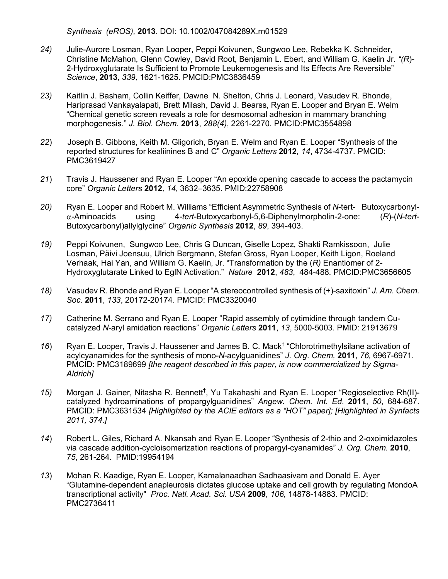*Synthesis (eROS),* **2013**. DOI: 10.1002/047084289X.rn01529

- *24)* Julie-Aurore Losman, Ryan Looper, Peppi Koivunen, Sungwoo Lee, Rebekka K. Schneider, Christine McMahon, Glenn Cowley, David Root, Benjamin L. Ebert, and William G. Kaelin Jr. *"(R*)- 2-Hydroxyglutarate Is Sufficient to Promote Leukemogenesis and Its Effects Are Reversible" *Science*, **2013**, *339,* 1621-1625. PMCID:PMC3836459
- *23)* Kaitlin J. Basham, Collin Keiffer, Dawne N. Shelton, Chris J. Leonard, Vasudev R. Bhonde, Hariprasad Vankayalapati, Brett Milash, David J. Bearss, Ryan E. Looper and Bryan E. Welm "Chemical genetic screen reveals a role for desmosomal adhesion in mammary branching morphogenesis." *J. Biol. Chem.* **2013**, *288(4)*, 2261-2270. PMCID:PMC3554898
- *22*) Joseph B. Gibbons, Keith M. Gligorich, Bryan E. Welm and Ryan E. Looper "Synthesis of the reported structures for kealiinines B and C" *Organic Letters* **2012***, 14*, 4734-4737*.* PMCID: PMC3619427
- *21*) Travis J. Haussener and Ryan E. Looper "An epoxide opening cascade to access the pactamycin core" *Organic Letters* **2012***, 14*, 3632–3635*.* PMID:22758908
- *20)* Ryan E. Looper and Robert M. Williams "Efficient Asymmetric Synthesis of *N*-tert- Butoxycarbonyla-Aminoacids using 4-*tert*-Butoxycarbonyl-5,6-Diphenylmorpholin-2-one: (*R*)-(*N*-*tert*-Butoxycarbonyl)allylglycine" *Organic Synthesis* **2012**, *89*, 394-403.
- *19)* Peppi Koivunen, Sungwoo Lee, Chris G Duncan, Giselle Lopez, Shakti Ramkissoon, Julie Losman, Päivi Joensuu, Ulrich Bergmann, Stefan Gross, Ryan Looper, Keith Ligon, Roeland Verhaak, Hai Yan, and William G. Kaelin, Jr. "Transformation by the (*R)* Enantiomer of 2- Hydroxyglutarate Linked to EglN Activation." *Nature* **2012**, *483*, 484-488*.* PMCID:PMC3656605
- *18)* Vasudev R. Bhonde and Ryan E. Looper "A stereocontrolled synthesis of (+)-saxitoxin" *J. Am. Chem. Soc.* **2011**, *133*, 20172-20174. PMCID: PMC3320040
- *17)* Catherine M. Serrano and Ryan E. Looper "Rapid assembly of cytimidine through tandem Cucatalyzed *N-*aryl amidation reactions" *Organic Letters* **2011**, *13*, 5000-5003. PMID: 21913679
- *16*) Ryan E. Looper, Travis J. Haussener and James B. C. Mack† "Chlorotrimethylsilane activation of acylcyanamides for the synthesis of mono-*N*-acylguanidines" *J. Org. Chem,* **2011**, *76,* 6967-6971*.* PMCID: PMC3189699 *[the reagent described in this paper, is now commercialized by Sigma-Aldrich]*
- *15)* Morgan J. Gainer, Nitasha R. Bennett**†** , Yu Takahashi and Ryan E. Looper "Regioselective Rh(II) catalyzed hydroaminations of propargylguanidines" *Angew. Chem. Int. Ed.* **2011**, *50*, 684-687. PMCID: PMC3631534 *[Highlighted by the ACIE editors as a "HOT" paper]; [Highlighted in Synfacts 2011, 374.]*
- *14*) Robert L. Giles, Richard A. Nkansah and Ryan E. Looper "Synthesis of 2-thio and 2-oxoimidazoles via cascade addition-cycloisomerization reactions of propargyl-cyanamides" *J. Org. Chem.* **2010**, *75*, 261-264. PMID:19954194
- *13*) Mohan R. Kaadige, Ryan E. Looper, Kamalanaadhan Sadhaasivam and Donald E. Ayer "Glutamine-dependent anapleurosis dictates glucose uptake and cell growth by regulating MondoA transcriptional activity" *Proc. Natl. Acad. Sci. USA* **2009**, *106*, 14878-14883*.* PMCID: PMC2736411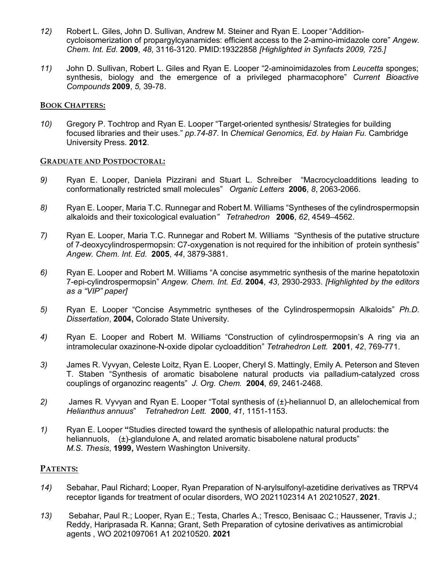- *12)* Robert L. Giles, John D. Sullivan, Andrew M. Steiner and Ryan E. Looper "Additioncycloisomerization of propargylcyanamides: efficient access to the 2-amino-imidazole core" *Angew. Chem. Int. Ed.* **2009**, *48,* 3116-3120. PMID:19322858 *[Highlighted in Synfacts 2009, 725.]*
- *11)* John D. Sullivan, Robert L. Giles and Ryan E. Looper "2-aminoimidazoles from *Leucetta* sponges; synthesis, biology and the emergence of a privileged pharmacophore" *Current Bioactive Compounds* **2009**, *5,* 39-78.

#### **BOOK CHAPTERS:**

*10)* Gregory P. Tochtrop and Ryan E. Looper "Target-oriented synthesis/ Strategies for building focused libraries and their uses." *pp.74-87.* In *Chemical Genomics, Ed. by Haian Fu.* Cambridge University Press. **2012**.

#### **GRADUATE AND POSTDOCTORAL:**

- *9)* Ryan E. Looper, Daniela Pizzirani and Stuart L. Schreiber "Macrocycloadditions leading to conformationally restricted small molecules" *Organic Letters* **2006**, *8*, 2063-2066*.*
- *8)* Ryan E. Looper, Maria T.C. Runnegar and Robert M. Williams "Syntheses of the cylindrospermopsin alkaloids and their toxicological evaluation*" Tetrahedron* **2006**, *62*, 4549–4562.
- *7)* Ryan E. Looper, Maria T.C. Runnegar and Robert M. Williams "Synthesis of the putative structure of 7-deoxycylindrospermopsin: C7-oxygenation is not required for the inhibition of protein synthesis" *Angew. Chem. Int. Ed.* **2005**, *44*, 3879-3881.
- *6)* Ryan E. Looper and Robert M. Williams "A concise asymmetric synthesis of the marine hepatotoxin 7-epi-cylindrospermopsin" *Angew. Chem. Int. Ed.* **2004**, *43*, 2930-2933. *[Highlighted by the editors as a "VIP" paper]*
- *5)* Ryan E. Looper "Concise Asymmetric syntheses of the Cylindrospermopsin Alkaloids" *Ph.D. Dissertation*, **2004,** Colorado State University.
- *4)* Ryan E. Looper and Robert M. Williams "Construction of cylindrospermopsin's A ring via an intramolecular oxazinone-N-oxide dipolar cycloaddition" *Tetrahedron Lett.* **2001**, *42*, 769-771.
- *3)* James R. Vyvyan, Celeste Loitz, Ryan E. Looper, Cheryl S. Mattingly, Emily A. Peterson and Steven T. Staben "Synthesis of aromatic bisabolene natural products via palladium-catalyzed cross couplings of organozinc reagents" *J. Org. Chem.* **2004**, *69*, 2461-2468.
- *2)* James R. Vyvyan and Ryan E. Looper "Total synthesis of (±)-heliannuol D, an allelochemical from *Helianthus annuus*" *Tetrahedron Lett.* **2000**, *41*, 1151-1153.
- *1)* Ryan E. Looper **"**Studies directed toward the synthesis of allelopathic natural products: the heliannuols, (±)-glandulone A, and related aromatic bisabolene natural products" *M.S. Thesis*, **1999,** Western Washington University.

### **PATENTS:**

- *14)* Sebahar, Paul Richard; Looper, Ryan Preparation of N-arylsulfonyl-azetidine derivatives as TRPV4 receptor ligands for treatment of ocular disorders, WO 2021102314 A1 20210527, **2021**.
- *13)* Sebahar, Paul R.; Looper, Ryan E.; Testa, Charles A.; Tresco, Benisaac C.; Haussener, Travis J.; Reddy, Hariprasada R. Kanna; Grant, Seth Preparation of cytosine derivatives as antimicrobial agents , WO 2021097061 A1 20210520. **2021**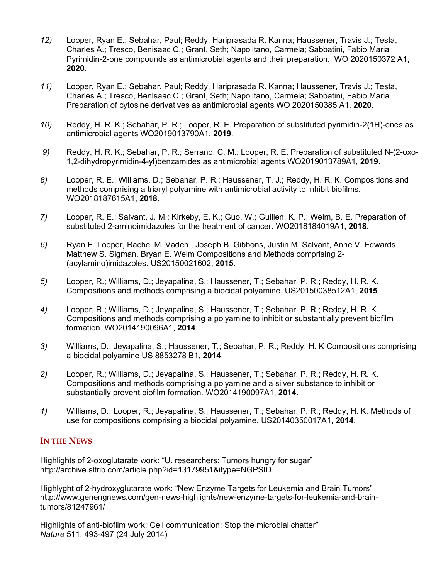- *12)* Looper, Ryan E.; Sebahar, Paul; Reddy, Hariprasada R. Kanna; Haussener, Travis J.; Testa, Charles A.; Tresco, Benisaac C.; Grant, Seth; Napolitano, Carmela; Sabbatini, Fabio Maria Pyrimidin-2-one compounds as antimicrobial agents and their preparation. WO 2020150372 A1, **2020**.
- *11)* Looper, Ryan E.; Sebahar, Paul; Reddy, Hariprasada R. Kanna; Haussener, Travis J.; Testa, Charles A.; Tresco, Benlsaac C.; Grant, Seth; Napolitano, Carmela; Sabbatini, Fabio Maria Preparation of cytosine derivatives as antimicrobial agents WO 2020150385 A1, **2020**.
- *10)* Reddy, H. R. K.; Sebahar, P. R.; Looper, R. E. Preparation of substituted pyrimidin-2(1H)-ones as antimicrobial agents WO2019013790A1, **2019**.
- *9)* Reddy, H. R. K.; Sebahar, P. R.; Serrano, C. M.; Looper, R. E. Preparation of substituted N-(2-oxo-1,2-dihydropyrimidin-4-yl)benzamides as antimicrobial agents WO2019013789A1, **2019**.
- *8)* Looper, R. E.; Williams, D.; Sebahar, P. R.; Haussener, T. J.; Reddy, H. R. K. Compositions and methods comprising a triaryl polyamine with antimicrobial activity to inhibit biofilms. WO2018187615A1, **2018**.
- *7)* Looper, R. E.; Salvant, J. M.; Kirkeby, E. K.; Guo, W.; Guillen, K. P.; Welm, B. E. Preparation of substituted 2-aminoimidazoles for the treatment of cancer. WO2018184019A1, **2018**.
- *6)* Ryan E. Looper, Rachel M. Vaden , Joseph B. Gibbons, Justin M. Salvant, Anne V. Edwards Matthew S. Sigman, Bryan E. Welm Compositions and Methods comprising 2- (acylamino)imidazoles. US20150021602, **2015**.
- *5)* Looper, R.; Williams, D.; Jeyapalina, S.; Haussener, T.; Sebahar, P. R.; Reddy, H. R. K. Compositions and methods comprising a biocidal polyamine. US20150038512A1, **2015**.
- *4)* Looper, R.; Williams, D.; Jeyapalina, S.; Haussener, T.; Sebahar, P. R.; Reddy, H. R. K. Compositions and methods comprising a polyamine to inhibit or substantially prevent biofilm formation. WO2014190096A1, **2014**.
- *3)* Williams, D.; Jeyapalina, S.; Haussener, T.; Sebahar, P. R.; Reddy, H. K Compositions comprising a biocidal polyamine US 8853278 B1, **2014**.
- *2)* Looper, R.; Williams, D.; Jeyapalina, S.; Haussener, T.; Sebahar, P. R.; Reddy, H. R. K. Compositions and methods comprising a polyamine and a silver substance to inhibit or substantially prevent biofilm formation. WO2014190097A1, **2014**.
- *1)* Williams, D.; Looper, R.; Jeyapalina, S.; Haussener, T.; Sebahar, P. R.; Reddy, H. K. Methods of use for compositions comprising a biocidal polyamine. US20140350017A1, **2014**.

### **IN THE NEWS**

Highlights of 2-oxoglutarate work: "U. researchers: Tumors hungry for sugar" http://archive.sltrib.com/article.php?id=13179951&itype=NGPSID

Highlyght of 2-hydroxyglutarate work: "New Enzyme Targets for Leukemia and Brain Tumors" http://www.genengnews.com/gen-news-highlights/new-enzyme-targets-for-leukemia-and-braintumors/81247961/

Highlights of anti-biofilm work:"Cell communication: Stop the microbial chatter" *Nature* 511, 493-497 (24 July 2014)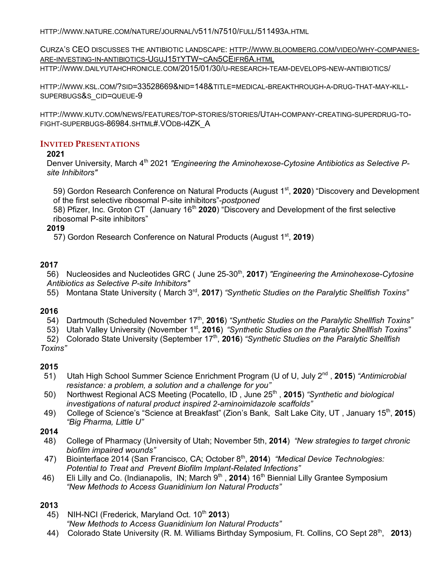HTTP://WWW.NATURE.COM/NATURE/JOURNAL/V511/N7510/FULL/511493A.HTML

CURZA'S CEO DISCUSSES THE ANTIBIOTIC LANDSCAPE: HTTP://WWW.BLOOMBERG.COM/VIDEO/WHY-COMPANIES-ARE-INVESTING-IN-ANTIBIOTICS-UGUJ15TYTW~CAN5CEIFR6A.HTML

HTTP://WWW.DAILYUTAHCHRONICLE.COM/2015/01/30/U-RESEARCH-TEAM-DEVELOPS-NEW-ANTIBIOTICS/

HTTP://WWW.KSL.COM/?SID=33528669&NID=148&TITLE=MEDICAL-BREAKTHROUGH-A-DRUG-THAT-MAY-KILL-SUPERBUGS&S\_CID=QUEUE-9

HTTP://WWW.KUTV.COM/NEWS/FEATURES/TOP-STORIES/STORIES/UTAH-COMPANY-CREATING-SUPERDRUG-TO-FIGHT-SUPERBUGS-86984.SHTML#.VODB-I4ZK\_A

#### **INVITED PRESENTATIONS**

#### **2021**

Denver University, March 4<sup>th</sup> 2021 *"Engineering the Aminohexose-Cytosine Antibiotics as Selective Psite Inhibitors"*

59) Gordon Research Conference on Natural Products (August 1st, **2020**) "Discovery and Development of the first selective ribosomal P-site inhibitors"-*postponed*

58) Pfizer, Inc. Groton CT (January 16<sup>th</sup> 2020) "Discovery and Development of the first selective ribosomal P-site inhibitors"

### **2019**

57) Gordon Research Conference on Natural Products (August 1st, **2019**)

### **2017**

56) Nucleosides and Nucleotides GRC ( June 25-30<sup>th</sup>, 2017) *"Engineering the Aminohexose-Cytosine Antibiotics as Selective P-site Inhibitors"*

55) Montana State University ( March 3rd, **2017**) *"Synthetic Studies on the Paralytic Shellfish Toxins"*

### **2016**

- 54) Dartmouth (Scheduled November 17<sup>th</sup>, 2016) "Synthetic Studies on the Paralytic Shellfish Toxins"
- 53) Utah Valley University (November 1st, **2016**) *"Synthetic Studies on the Paralytic Shellfish Toxins"*

52) Colorado State University (September 17th, **2016**) *"Synthetic Studies on the Paralytic Shellfish Toxins"*

#### **2015**

- 51) Utah High School Summer Science Enrichment Program (U of U, July 2<sup>nd</sup>, 2015) *"Antimicrobial resistance: a problem, a solution and a challenge for you"*
- 50) Northwest Regional ACS Meeting (Pocatello, ID , June 25th , **2015**) *"Synthetic and biological investigations of natural product inspired 2-aminoimidazole scaffolds"*
- 49) College of Science's "Science at Breakfast" (Zion's Bank, Salt Lake City, UT , January 15th, **2015**) *"Big Pharma, Little U"*

#### **2014**

- 48) College of Pharmacy (University of Utah; November 5th, **2014**) *"New strategies to target chronic biofilm impaired wounds"*
- 47) Biointerface 2014 (San Francisco, CA; October 8<sup>th</sup>, 2014) *"Medical Device Technologies: Potential to Treat and Prevent Biofilm Implant-Related Infections"*
- 46) Eli Lilly and Co. (Indianapolis, IN; March 9<sup>th</sup>, 2014) 16<sup>th</sup> Biennial Lilly Grantee Symposium *"New Methods to Access Guanidinium Ion Natural Products"*

### **2013**

45) NIH-NCI (Frederick, Maryland Oct. 10<sup>th</sup> 2013)

*"New Methods to Access Guanidinium Ion Natural Products"*

44) Colorado State University (R. M. Williams Birthday Symposium, Ft. Collins, CO Sept 28th, **2013**)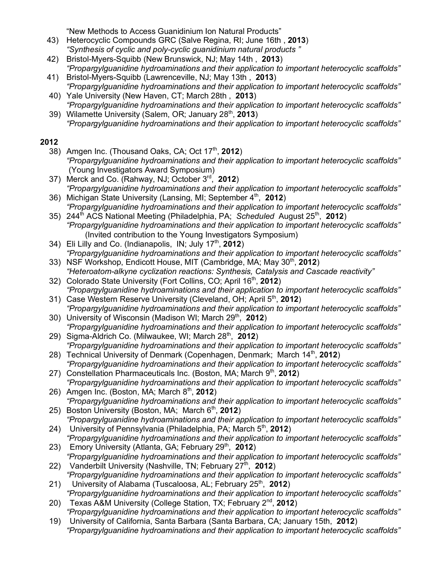"New Methods to Access Guanidinium Ion Natural Products"

- 43) Heterocyclic Compounds GRC (Salve Regina, RI; June 16th , **2013**) *"Synthesis of cyclic and poly-cyclic guanidinium natural products "*
- 42) Bristol-Myers-Squibb (New Brunswick, NJ; May 14th , **2013**) *"Propargylguanidine hydroaminations and their application to important heterocyclic scaffolds"*
- 41) Bristol-Myers-Squibb (Lawrenceville, NJ; May 13th , **2013**) *"Propargylguanidine hydroaminations and their application to important heterocyclic scaffolds"*
- 40) Yale University (New Haven, CT; March 28th , **2013**) *"Propargylguanidine hydroaminations and their application to important heterocyclic scaffolds"*  39) Wilamette University (Salem, OR; January 28th, **2013**)
- *"Propargylguanidine hydroaminations and their application to important heterocyclic scaffolds"*

# **2012**

- 38) Amgen Inc. (Thousand Oaks, CA; Oct 17<sup>th</sup>, 2012) *"Propargylguanidine hydroaminations and their application to important heterocyclic scaffolds"*  (Young Investigators Award Symposium)
- 37) Merck and Co. (Rahway, NJ; October 3rd, **2012**) *"Propargylguanidine hydroaminations and their application to important heterocyclic scaffolds"*  36) Michigan State University (Lansing, MI; September 4<sup>th</sup>, 2012)
- *"Propargylguanidine hydroaminations and their application to important heterocyclic scaffolds"*
- 35) 244th ACS National Meeting (Philadelphia, PA; *Scheduled* August 25th, **2012**) *"Propargylguanidine hydroaminations and their application to important heterocyclic scaffolds"*  (Invited contribution to the Young Investigators Symposium)
- 34) Eli Lilly and Co. (Indianapolis, IN; July 17th, **2012**) *"Propargylguanidine hydroaminations and their application to important heterocyclic scaffolds"*
- 33) NSF Workshop, Endicott House, MIT (Cambridge, MA; May 30th, **2012**) *"Heteroatom-alkyne cyclization reactions: Synthesis, Catalysis and Cascade reactivity"*
- 32) Colorado State University (Fort Collins, CO; April 16th, **2012**) *"Propargylguanidine hydroaminations and their application to important heterocyclic scaffolds"*
- 31) Case Western Reserve University (Cleveland, OH; April 5th, **2012**) *"Propargylguanidine hydroaminations and their application to important heterocyclic scaffolds"*
- 30) University of Wisconsin (Madison WI; March 29<sup>th</sup>, 2012) *"Propargylguanidine hydroaminations and their application to important heterocyclic scaffolds"*
- 29) Sigma-Aldrich Co. (Milwaukee, WI; March 28<sup>th</sup>, 2012) *"Propargylguanidine hydroaminations and their application to important heterocyclic scaffolds"*
- 28) Technical University of Denmark (Copenhagen, Denmark; March 14<sup>th</sup>, 2012) *"Propargylguanidine hydroaminations and their application to important heterocyclic scaffolds"*
- 27) Constellation Pharmaceuticals Inc. (Boston, MA; March 9<sup>th</sup>, 2012) *"Propargylguanidine hydroaminations and their application to important heterocyclic scaffolds"*
- 26) Amgen Inc. (Boston, MA; March 8th, **2012**) *"Propargylguanidine hydroaminations and their application to important heterocyclic scaffolds"*
- 25) Boston University (Boston, MA; March 6<sup>th</sup>, **2012**) *"Propargylguanidine hydroaminations and their application to important heterocyclic scaffolds"*
- 24) University of Pennsylvania (Philadelphia, PA; March 5<sup>th</sup>, 2012) *"Propargylguanidine hydroaminations and their application to important heterocyclic scaffolds"*
- 23) Emory University (Atlanta, GA; February 29<sup>th</sup>, 2012) *"Propargylguanidine hydroaminations and their application to important heterocyclic scaffolds"*
- 22) Vanderbilt University (Nashville, TN; February 27th, **2012**) *"Propargylguanidine hydroaminations and their application to important heterocyclic scaffolds"*
- 21) University of Alabama (Tuscaloosa, AL; February 25<sup>th</sup>, 2012) *"Propargylguanidine hydroaminations and their application to important heterocyclic scaffolds"*
- 20) Texas A&M University (College Station, TX; February 2nd, **2012**) *"Propargylguanidine hydroaminations and their application to important heterocyclic scaffolds"*
- 19) University of California, Santa Barbara (Santa Barbara, CA; January 15th, **2012**) *"Propargylguanidine hydroaminations and their application to important heterocyclic scaffolds"*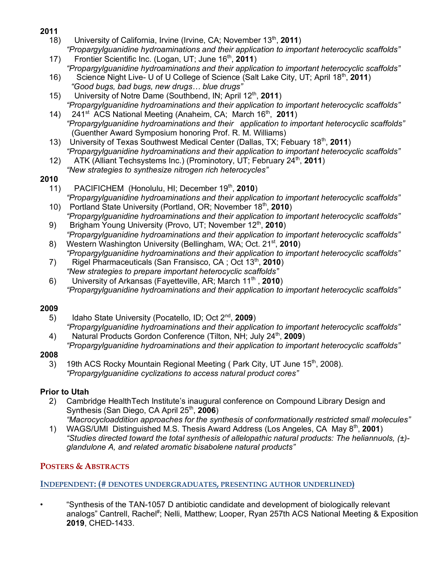- **2011**
	- 18) University of California, Irvine (Irvine, CA; November 13<sup>th</sup>, 2011) *"Propargylguanidine hydroaminations and their application to important heterocyclic scaffolds"*
	- 17) Frontier Scientific Inc. (Logan, UT; June 16th, **2011**) *"Propargylguanidine hydroaminations and their application to important heterocyclic scaffolds"*
	- 16) Science Night Live- U of U College of Science (Salt Lake City, UT; April 18th, **2011**) *"Good bugs, bad bugs, new drugs… blue drugs"*
	- 15) University of Notre Dame (Southbend, IN; April 12th, **2011**) *"Propargylguanidine hydroaminations and their application to important heterocyclic scaffolds"*
	- 14) 241<sup>st</sup> ACS National Meeting (Anaheim, CA; March 16<sup>th</sup>, 2011) *"Propargylguanidine hydroaminations and their application to important heterocyclic scaffolds"* (Guenther Award Symposium honoring Prof. R. M. Williams)
	- 13) University of Texas Southwest Medical Center (Dallas, TX; Febuary 18th, **2011**) *"Propargylguanidine hydroaminations and their application to important heterocyclic scaffolds"*
	- 12) ATK (Alliant Techsystems Inc.) (Prominotory, UT; February 24<sup>th</sup>, 2011)
	- *"New strategies to synthesize nitrogen rich heterocycles"*

# **2010**

- 11) PACIFICHEM (Honolulu, HI; December 19<sup>th</sup>, 2010) *"Propargylguanidine hydroaminations and their application to important heterocyclic scaffolds"*
- 10) Portland State University (Portland, OR; November 18th, **2010**) *"Propargylguanidine hydroaminations and their application to important heterocyclic scaffolds"*
- 9) Brigham Young University (Provo, UT; November 12<sup>th</sup>, 2010) *"Propargylguanidine hydroaminations and their application to important heterocyclic scaffolds"*
- 8) Western Washington University (Bellingham, WA; Oct. 21st, **2010**) *"Propargylguanidine hydroaminations and their application to important heterocyclic scaffolds"*
- 7) Rigel Pharmaceuticals (San Fransisco, CA ; Oct 13th, **2010**) *"New strategies to prepare important heterocyclic scaffolds"*
- 6) University of Arkansas (Fayetteville, AR; March 11th , **2010**) *"Propargylguanidine hydroaminations and their application to important heterocyclic scaffolds"*

# **2009**

- 5) Idaho State University (Pocatello, ID; Oct 2nd, **2009**) *"Propargylguanidine hydroaminations and their application to important heterocyclic scaffolds"*
- 4) Natural Products Gordon Conference (Tilton, NH; July 24<sup>th</sup>, 2009) *"Propargylguanidine hydroaminations and their application to important heterocyclic scaffolds"*

# **2008**

3) 19th ACS Rocky Mountain Regional Meeting (Park City, UT June  $15<sup>th</sup>$ , 2008). *"Propargylguanidine cyclizations to access natural product cores"*

# **Prior to Utah**

- 2) Cambridge HealthTech Institute's inaugural conference on Compound Library Design and Synthesis (San Diego, CA April 25th, **2006**)
- *"Macrocycloaddition approaches for the synthesis of conformationally restricted small molecules"*  1) WAGS/UMI Distinguished M.S. Thesis Award Address (Los Angeles, CA May 8th, **2001**) *"Studies directed toward the total synthesis of allelopathic natural products: The heliannuols, (±) glandulone A, and related aromatic bisabolene natural products"*

# **POSTERS & ABSTRACTS**

**INDEPENDENT: (# DENOTES UNDERGRADUATES, PRESENTING AUTHOR UNDERLINED)**

• "Synthesis of the TAN-1057 D antibiotic candidate and development of biologically relevant analogs" Cantrell, Rachel<sup>#</sup>; Nelli, Matthew; Looper, Ryan 257th ACS National Meeting & Exposition **2019**, CHED-1433.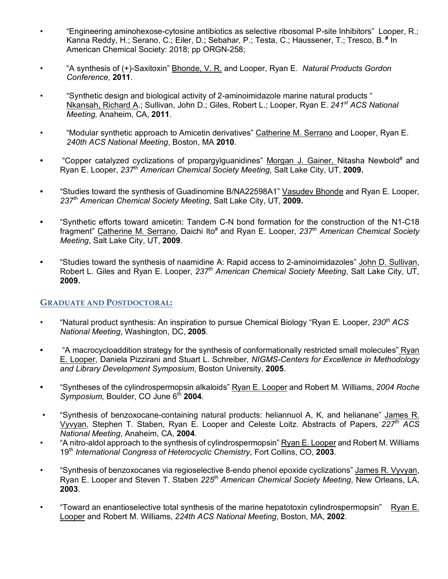- "Engineering aminohexose-cytosine antibiotics as selective ribosomal P-site Inhibitors" Looper, R.; Kanna Reddy, H.; Serano, C.; Eiler, D.; Sebahar, P.; Testa, C.; Haussener, T.; Tresco, B. **#** In American Chemical Society: 2018; pp ORGN-258;
- "A synthesis of (+)-Saxitoxin" Bhonde, V. R. and Looper, Ryan E. *Natural Products Gordon Conference,* **2011**.
- "Synthetic design and biological activity of 2-aminoimidazole marine natural products " Nkansah, Richard A.; Sullivan, John D.; Giles, Robert L.; Looper, Ryan E. *241st ACS National Meeting,* Anaheim, CA, **2011**.
- "Modular synthetic approach to Amicetin derivatives" Catherine M. Serrano and Looper, Ryan E. *240th ACS National Meeting*, Boston, MA **2010**.
- "Copper catalyzed cyclizations of propargylguanidines" Morgan J. Gainer, Nitasha Newbold<sup>#</sup> and Ryan E. Looper, *237th American Chemical Society Meeting*, Salt Lake City, UT, **2009.**
- **•** "Studies toward the synthesis of Guadinomine B/NA22598A1" Vasudev Bhonde and Ryan E. Looper, *237th American Chemical Society Meeting*, Salt Lake City, UT, **2009.**
- **•** "Synthetic efforts toward amicetin: Tandem C-N bond formation for the construction of the N1-C18 fragment" Catherine M. Serrano, Daichi Ito# and Ryan E. Looper, *237th American Chemical Society Meeting*, Salt Lake City, UT, **2009**.
- **•** "Studies toward the synthesis of naamidine A: Rapid access to 2-aminoimidazoles" John D. Sullivan, Robert L. Giles and Ryan E. Looper, *237th American Chemical Society Meeting*, Salt Lake City, UT, **2009.**

### **GRADUATE AND POSTDOCTORAL:**

- "Natural product synthesis: An inspiration to pursue Chemical Biology "Ryan E. Looper, *230th ACS National Meeting*, Washington, DC, **2005**.
- **•** "A macrocycloaddition strategy for the synthesis of conformationally restricted small molecules" Ryan E. Looper, Daniela Pizzirani and Stuart L. Schreiber, *NIGMS-Centers for Excellence in Methodology and Library Development Symposium*, Boston University, **2005**.
- **•** "Syntheses of the cylindrospermopsin alkaloids" Ryan E. Looper and Robert M. Williams, *2004 Roche Symposium, Boulder, CO June 6<sup>th</sup> 2004.*
- "Synthesis of benzoxocane-containing natural products: heliannuol A, K, and helianane" James R. Vyvyan, Stephen T. Staben, Ryan E. Looper and Celeste Loitz. Abstracts of Papers, *227th ACS National Meeting*, Anaheim, CA, **2004**.
- "A nitro-aldol approach to the synthesis of cylindrospermopsin" Ryan E. Looper and Robert M. Williams 19th *International Congress of Heterocyclic Chemistry*, Fort Collins, CO, **2003**.
- "Synthesis of benzoxocanes via regioselective 8-endo phenol epoxide cyclizations" James R. Vyvyan, Ryan E. Looper and Steven T. Staben *225th American Chemical Society Meeting*, New Orleans, LA, **2003**.
- "Toward an enantioselective total synthesis of the marine hepatotoxin cylindrospermopsin" Ryan E. Looper and Robert M. Williams, *224th ACS National Meeting*, Boston, MA, **2002**.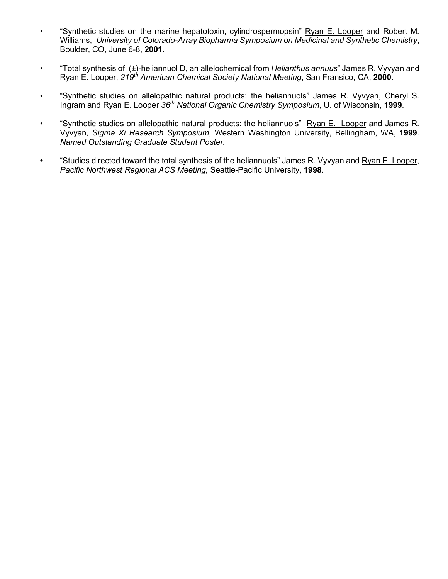- "Synthetic studies on the marine hepatotoxin, cylindrospermopsin" Ryan E. Looper and Robert M. Williams, *University of Colorado-Array Biopharma Symposium on Medicinal and Synthetic Chemistry*, Boulder, CO, June 6-8, **2001**.
- "Total synthesis of (±)-heliannuol D, an allelochemical from *Helianthus annuus*" James R. Vyvyan and Ryan E. Looper, *219th American Chemical Society National Meeting*, San Fransico, CA, **2000.**
- "Synthetic studies on allelopathic natural products: the heliannuols" James R. Vyvyan, Cheryl S. Ingram and Ryan E. Looper *36th National Organic Chemistry Symposium*, U. of Wisconsin, **1999**.
- "Synthetic studies on allelopathic natural products: the heliannuols" Ryan E. Looper and James R. Vyvyan*, Sigma Xi Research Symposium*, Western Washington University, Bellingham, WA, **1999**. *Named Outstanding Graduate Student Poster.*
- **•** "Studies directed toward the total synthesis of the heliannuols" James R. Vyvyan and Ryan E. Looper, *Pacific Northwest Regional ACS Meeting,* Seattle-Pacific University, **1998**.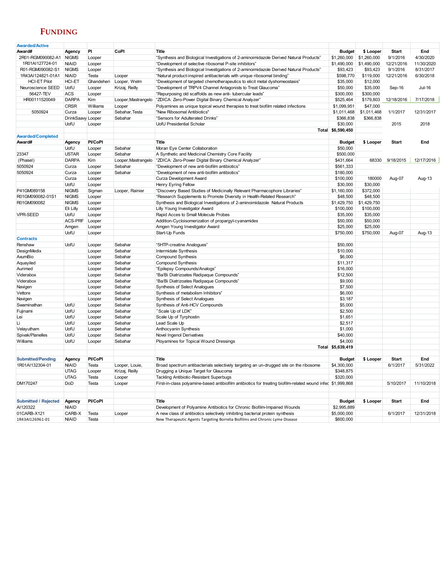# **FUNDING**

| <b>Awarded/Active</b>       |                   |                |                     |                                                                                                             |                   |             |              |            |
|-----------------------------|-------------------|----------------|---------------------|-------------------------------------------------------------------------------------------------------------|-------------------|-------------|--------------|------------|
| Award#                      | Agency            | PI             | CoPI                | <b>Title</b>                                                                                                | <b>Budget</b>     | \$ Looper   | <b>Start</b> | End        |
| 2R01-RGM090082-A1           | <b>NIGMS</b>      | Looper         |                     | "Synthesis and Biological Investigations of 2-aminoimidazole Derived Natural Products"                      | \$1,260,000       | \$1,260,000 | 9/1/2016     | 4/30/2020  |
| 1R01AI127724-01             | <b>NIAID</b>      | Looper         |                     | "Development of selective ribosomal P-site inhibitors"                                                      | \$1,490,000       | \$1,490,000 | 12/21/2016   | 11/30/2020 |
| R01-RGM090082-S1            | <b>NIGMS</b>      | Looper         |                     | "Synthesis and Biological Investigations of 2-aminoimidazole Derived Natural Products"                      | \$93,423          | \$93,423    | 9/1/2016     | 8/31/2017  |
| 1R43AI124821-01A1           | <b>NIAID</b>      | Testa          | Looper              | "Natural product-inspired antibacterials with unique ribosomal binding"                                     | \$598,770         | \$119,000   | 12/21/2016   | 6/30/2018  |
| <b>HCI-ET Pilot</b>         | HCI-ET            | Ghandeheri     | Looper, Welm        | "Development of targeted chemotherapeutics to elicit metal dyshomeostasis"                                  | \$35,000          | \$12,000    |              |            |
| Neuroscience SEED           | UofU              | Looper         | Krizaj, Reilly      | "Development of TRPV4 Channel Antagonists to Treat Glaucoma"                                                | \$50,000          | \$35,000    | Sep-16       | Jul-16     |
| 56427-TEV                   | <b>ACS</b>        | Looper         |                     | "Repurposing old scaffolds as new anti-tubercular leads"                                                    | \$300,000         | \$300,000   |              |            |
| HR00111520049               | <b>DARPA</b>      | Kim            | Looper, Mastrangelo | "ZDICA: Zero-Power Digital Binary Chemical Analyzer"                                                        | \$525,464         | \$179,803   | 12/18/2016   | 7/17/2018  |
|                             | <b>CRSR</b>       |                |                     |                                                                                                             |                   | \$47,000    |              |            |
|                             |                   | Williams       | Looper              | Polyamines as unique topical wound therapies to treat biofilm related infections                            | \$1,099,951       |             |              |            |
| 5050924                     | Curza             | Looper         | Sebahar, Testa      | "New Ribosomal Antibiotics"                                                                                 | \$1,011,468       | \$1,011,468 | 1/1/2017     | 12/31/2017 |
|                             | DrinkSaavy Looper |                | Sebahar             | "Sensors for Adulterated Drinks"                                                                            | \$366,838         | \$366,838   |              |            |
|                             | UofU              | Looper         |                     | UofU Presidential Scholar                                                                                   | \$30,000          |             | 2015         | 2018       |
|                             |                   |                |                     |                                                                                                             | Total \$6,590,450 |             |              |            |
| <b>Awarded/Completed</b>    |                   |                |                     |                                                                                                             |                   |             |              |            |
| Award#                      | Agency            | <b>PI/CoPI</b> |                     | Title                                                                                                       | <b>Budget</b>     | \$ Looper   | <b>Start</b> | End        |
|                             | UofU              | Looper         | Sebahar             | Moran Eye Center Collaboration                                                                              | \$50,000          |             |              |            |
| 23347                       | <b>USTAR</b>      | Looper         | Sebahar             | A Synthetic and Medicinal Chemistry Core Facility                                                           | \$500,000         |             |              |            |
| (Phasel)                    | <b>DARPA</b>      | Kim            | Looper, Mastrangelo | "ZDICA: Zero-Power Digital Binary Chemical Analyzer"                                                        | \$431,664         | 68330       | 9/18/2015    | 12/17/2016 |
| 5050924                     | Curza             | Looper         | Sebahar             | "Development of new anti-biofilm antibiotics"                                                               | \$561,333         |             |              |            |
| 5050924                     | Curza             | Looper         | Sebahar             | "Development of new anti-biofilm antibiotics"                                                               | \$180,000         |             |              |            |
|                             | Curza             | Looper         |                     | Curza Development Award                                                                                     | \$100,000         | 180000      | Aug-07       | Aug-13     |
|                             | UofU              | Looper         |                     | Henry Eyring Fellow                                                                                         | \$30,000          | \$30,000    |              |            |
| P41GM089158                 | <b>NIGMS</b>      | Sigman         | Looper, Rainier     | "Discovery Based Studies of Medicinally Relevant Pharmacophore Libraries"                                   | \$1,160,000       | \$372,000   |              |            |
| R01GM090082-01S1            | <b>NIGMS</b>      | Looper         |                     | "Research Supplements to Promote Diversity in Health-Related Research"                                      | \$48,500          | \$48,500    |              |            |
| R01GM090082                 | <b>NIGMS</b>      | Looper         |                     | Synthesis and Biological Investigations of 2-aminoimidazole Natural Products                                | \$1,429,750       | \$1,429,750 |              |            |
|                             | Eli Lilly         | Looper         |                     | Lilly Young Investigator Award                                                                              | \$100,000         | \$100,000   |              |            |
| <b>VPR-SEED</b>             | UofU              | Looper         |                     | Rapid Acces to Small Molecule Probes                                                                        | \$35,000          | \$35,000    |              |            |
|                             | ACS-PRF           | Looper         |                     | Addition-Cycloisomerization of propargyl-cyanamides                                                         | \$50,000          | \$50,000    |              |            |
|                             | Amgen             |                |                     | Amgen Young Investigator Award                                                                              | \$25,000          | \$25,000    |              |            |
|                             | UofU              | Looper         |                     |                                                                                                             |                   |             |              |            |
|                             |                   | Looper         |                     | Start-Up Funds                                                                                              | \$750,000         | \$750,000   | Aug-07       | Aug-13     |
| <b>Contracts</b>            |                   |                |                     |                                                                                                             |                   |             |              |            |
| Renshaw                     | UofU              | Looper         | Sebahar             | "5HTP-creatine Analogues"                                                                                   | \$50,000          |             |              |            |
| DesignMedix                 |                   | Looper         | Sebahar             | Intermidate Synthesis                                                                                       | \$10,000          |             |              |            |
| AxumBio                     |                   | Looper         | Sebahar             | Compound Synthesis                                                                                          | \$6,000           |             |              |            |
| Aquayiled                   |                   | Looper         | Sebahar             | Compound Synthesis                                                                                          | \$11,317          |             |              |            |
| Aurimed                     |                   | Looper         | Sebahar             | "Epilepsy Compounds/Analogs"                                                                                | \$16,000          |             |              |            |
| Viderabox                   |                   | Looper         | Sebahar             | "Ba/Bi Diatrizoates Radipaque Compounds"                                                                    | \$12,500          |             |              |            |
| Viderabox                   |                   | Looper         | Sebahar             | "Ba/Bi Diatrizoates Radipaque Compounds"                                                                    | \$9,000           |             |              |            |
| Navigen                     |                   | Looper         | Sebahar             | Synthesis of Select Analogues                                                                               | \$7,500           |             |              |            |
| Vettore                     |                   | Looper         | Sebahar             | Synthesis of metabolism Inhibitors"                                                                         | \$6,000           |             |              |            |
| Navigen                     |                   | Looper         | Sebahar             | Synthesis of Select Analogues                                                                               | \$3,187           |             |              |            |
| Swaminathan                 | UofU              | Looper         | Sebahar             | Synthesis of Anti-HCV Compounds                                                                             | \$5,000           |             |              |            |
| Fujinami                    | UofU              | Looper         | Sebahar             | "Scale Up of LDK"                                                                                           | \$2,500           |             |              |            |
| Lei                         | UofU              | Looper         | Sebahar             | Scale Up of Tyrphostin                                                                                      | \$1,651           |             |              |            |
| Li                          | UofU              | Looper         | Sebahar             | Lead Scale Up                                                                                               | \$2,517           |             |              |            |
| Velayutham                  | UofU              | Looper         | Sebahar             | Anthocyanin Synthesis                                                                                       | \$1,000           |             |              |            |
| Spivak/Planelles            | UofU              | Looper         | Sebahar             | Novel Ingenol Derivatives                                                                                   | \$40,000          |             |              |            |
| Williams                    | UofU              | Looper         | Sebahar             | Ployamines for Topical Wound Dressings                                                                      | \$4,000           |             |              |            |
|                             |                   |                |                     |                                                                                                             | Total \$5,639,419 |             |              |            |
|                             |                   |                |                     |                                                                                                             |                   |             |              |            |
| <b>Submitted/Pending</b>    | Agency            | <b>PI/CoPI</b> |                     | Title                                                                                                       | <b>Budget</b>     | \$ Looper   | <b>Start</b> | End        |
| 1R01AI132304-01             | <b>NIAID</b>      | Testa          | Looper, Louie,      | Broad spectrum antibacterials selectively targeting an un-drugged site on the ribosome                      | \$4,300,000       |             | 6/1/2017     | 5/31/2022  |
|                             | <b>UTAG</b>       | Looper         | Krizaj, Reilly      | Drugging a Unique Target for Glaucoma                                                                       | \$348,875         |             |              |            |
|                             | <b>UTAG</b>       |                |                     |                                                                                                             | \$320,000         |             |              |            |
| DM170247                    | DoD               | Testa          | Looper              | Tackling Antibiotic-Resistant Superbugs                                                                     |                   |             |              |            |
|                             |                   | Testa          | Looper              | First-in-class polyamine-based antibiofilm antibiotics for treating biofilm-related wound infec \$1,999,868 |                   |             | 5/10/2017    | 11/10/2018 |
| <b>Submitted / Rejected</b> | Agency            | <b>PI/CoPI</b> |                     | Title                                                                                                       | <b>Budget</b>     | \$ Looper   | <b>Start</b> | End        |
| AI120322                    | <b>NIAID</b>      |                |                     | Development of Polyamine Antibiotics for Chronic Biofilm-Impaired Wounds                                    | \$2,995,889       |             |              |            |
| 01CARB-X121                 | CARB-X            | Testa          | Looper              | A new class of antibiotics selectively inhibiting bacterial protein synthesis                               | \$5,000,000       |             | 6/1/2017     | 12/31/2018 |
| 1R43AI126961-01             | <b>NIAID</b>      | Testa          |                     | New Therapeutic Agents Targeting Borrelia Biofilms and Chronic Lyme Disease                                 | \$600,000         |             |              |            |
|                             |                   |                |                     |                                                                                                             |                   |             |              |            |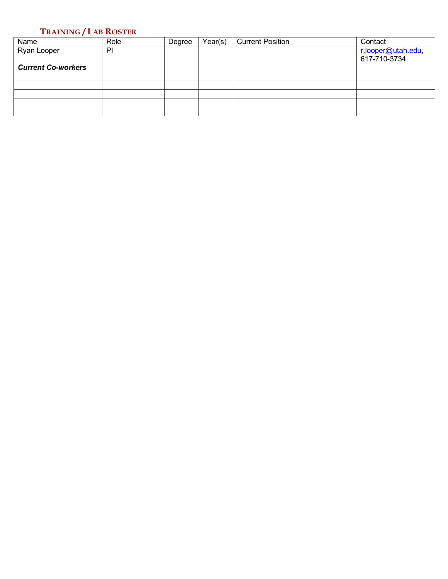## **TRAINING / LAB ROSTER**

| Name                      | Role | Degree | Year(s) | <b>Current Position</b> | Contact            |
|---------------------------|------|--------|---------|-------------------------|--------------------|
| Ryan Looper               | P    |        |         |                         | r.looper@utah.edu, |
|                           |      |        |         |                         | 617-710-3734       |
| <b>Current Co-workers</b> |      |        |         |                         |                    |
|                           |      |        |         |                         |                    |
|                           |      |        |         |                         |                    |
|                           |      |        |         |                         |                    |
|                           |      |        |         |                         |                    |
|                           |      |        |         |                         |                    |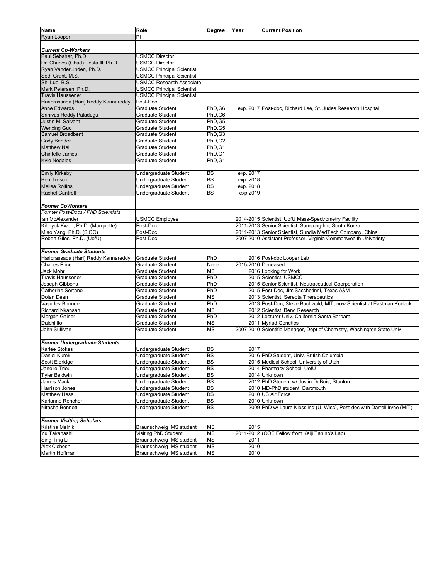| Name                                       | Role                                           | Degree          | Year               | <b>Current Position</b>                                                  |
|--------------------------------------------|------------------------------------------------|-----------------|--------------------|--------------------------------------------------------------------------|
| <b>Ryan Looper</b>                         | PI                                             |                 |                    |                                                                          |
|                                            |                                                |                 |                    |                                                                          |
| <b>Current Co-Workers</b>                  |                                                |                 |                    |                                                                          |
| Paul Sebahar, Ph.D.                        | <b>USMCC Director</b>                          |                 |                    |                                                                          |
| Dr. Charles (Chad) Testa III, Ph.D.        | <b>USMCC Director</b>                          |                 |                    |                                                                          |
| Ryan VanderLinden, Ph.D.                   | <b>USMCC Principal Scientist</b>               |                 |                    |                                                                          |
| Seth Grant, M.S.                           | <b>USMCC Principal Scientist</b>               |                 |                    |                                                                          |
| Shi Luo, B.S.                              | <b>USMCC Research Associate</b>                |                 |                    |                                                                          |
| Mark Petersen, Ph.D.                       | <b>USMCC Principal Scientist</b>               |                 |                    |                                                                          |
| <b>Travis Haussener</b>                    | <b>USMCC Principal Scientist</b>               |                 |                    |                                                                          |
| Hariprassada (Hari) Reddy Kannareddy       | Post-Doc                                       |                 |                    |                                                                          |
| <b>Anne Edwards</b>                        | <b>Graduate Student</b>                        | PhD,G6          |                    | exp. 2017 Post-doc, Richard Lee, St. Judes Research Hospital             |
| Srinivas Reddy Paladugu                    | Graduate Student                               | PhD.G6          |                    |                                                                          |
| Justin M. Salvant                          | Graduate Student                               | PhD.G5          |                    |                                                                          |
| <b>Wenxing Guo</b>                         | Graduate Student                               | PhD.G5          |                    |                                                                          |
| Samuel Broadbent                           | Graduate Student                               | PhD,G3          |                    |                                                                          |
| Cody Bender                                | Graduate Student                               | PhD, G2         |                    |                                                                          |
| <b>Matthew Nelli</b>                       | <b>Graduate Student</b>                        | PhD, G1         |                    |                                                                          |
| <b>Chintelle James</b>                     | <b>Graduate Student</b>                        | PhD, G1         |                    |                                                                          |
| <b>Kyle Nogales</b>                        | <b>Graduate Student</b>                        | PhD, G1         |                    |                                                                          |
|                                            |                                                |                 |                    |                                                                          |
| <b>Emily Kirkeby</b>                       |                                                | <b>BS</b>       |                    |                                                                          |
|                                            | Undergraduate Student<br>Undergraduate Student |                 | exp. 2017          |                                                                          |
| <b>Ben Tresco</b><br><b>Melisa Rollins</b> |                                                | BS<br><b>BS</b> | exp. 2018          |                                                                          |
| <b>Rachel Cantrell</b>                     | Undergraduate Student                          |                 | exp. 2018          |                                                                          |
|                                            | Undergraduate Student                          | <b>BS</b>       | exp.2019           |                                                                          |
|                                            |                                                |                 |                    |                                                                          |
| <b>Former CoWorkers</b>                    |                                                |                 |                    |                                                                          |
| Former Post-Docs / PhD Scientists          |                                                |                 |                    |                                                                          |
| lan McAlexander                            | <b>USMCC Employee</b>                          |                 |                    | 2014-2015 Scientist, UofU Mass-Spectrometry Facility                     |
| Kiheyok Kwon, Ph.D. (Marquette)            | Post-Doc                                       |                 |                    | 2011-2013 Senior Scientist, Samsung Inc, South Korea                     |
| Miao Yang, Ph.D. (SIOC)                    | Post-Doc                                       |                 |                    | 2011-2013 Senior Scientist, Sundia MedTech Company, China                |
| Robert Giles, Ph.D. (UofU)                 | Post-Doc                                       |                 |                    | 2007-2010 Assistant Professor, Virginia Commonwealth Univeristy          |
|                                            |                                                |                 |                    |                                                                          |
| <b>Former Graduate Students</b>            |                                                |                 |                    |                                                                          |
| Hariprassada (Hari) Reddy Kannareddy       | <b>Graduate Student</b>                        | PhD             |                    | 2016 Post-doc Looper Lab                                                 |
| <b>Charles Price</b>                       | <b>Graduate Student</b>                        | None            | 2015-2016 Deceased |                                                                          |
| Jack Mohr                                  | Graduate Student                               | <b>MS</b>       |                    | 2016 Looking for Work                                                    |
| <b>Travis Haussener</b>                    | Graduate Student                               | PhD             |                    | 2015 Scientist, USMCC                                                    |
| Joseph Gibbons                             | <b>Graduate Student</b>                        | PhD             |                    | 2015 Senior Scientist, Neutraceutical Coorporation                       |
| Catherine Serrano                          | <b>Graduate Student</b>                        | PhD             |                    | 2015 Post-Doc, Jim Sacchetinni, Texas A&M                                |
| Dolan Dean                                 | Graduate Student                               | <b>MS</b>       |                    | 2013 Scientist, Serepta Therapeutics                                     |
| Vasudev Bhonde                             | <b>Graduate Student</b>                        | PhD             |                    | 2013 Post-Doc, Steve Buchwald, MIT, now Scientist at Eastman Kodack      |
| Richard Nkansah                            | Graduate Student                               | <b>MS</b>       |                    | 2012 Scientist, Bend Research                                            |
| Morgan Gainer                              | Graduate Student                               | PhD             |                    | 2012 Lecturer Univ. California Santa Barbara                             |
| Daichi Ito                                 | Graduate Student                               | <b>MS</b>       |                    | 2011 Myriad Genetics                                                     |
| John Sullivan                              | Graduate Student                               | <b>MS</b>       |                    | 2007-2010 Scientific Manager, Dept of Chemistry, Washington State Univ.  |
|                                            |                                                |                 |                    |                                                                          |
| <b>Former Undergraduate Students</b>       |                                                |                 |                    |                                                                          |
| <b>Karlee Stokes</b>                       | Undergraduate Student                          | <b>BS</b>       | 2017               |                                                                          |
| Daniel Kurek                               | Undergraduate Student                          | BS              |                    | 2016 PhD Student, Univ. British Columbia                                 |
| Scott Eldridge                             | Undergraduate Student                          | <b>BS</b>       |                    | 2015 Medical School, University of Utah                                  |
| Janelle Trieu                              | Undergraduate Student                          | <b>BS</b>       |                    | 2014 Pharmacy School, UofU                                               |
| <b>Tyler Baldwin</b>                       | Undergraduate Student                          | <b>BS</b>       |                    | 2014 Unknown                                                             |
| James Mack                                 | Undergraduate Student                          | BS              |                    | 2012 PhD Student w/ Justin DuBois, Stanford                              |
| Harrison Jones                             | Undergraduate Student                          | <b>BS</b>       |                    | 2010 MD-PhD student, Dartmouth                                           |
| <b>Matthew Hess</b>                        | Undergraduate Student                          | <b>BS</b>       |                    | 2010 US Air Force                                                        |
| Karianne Rencher                           | Undergraduate Student                          | <b>BS</b>       |                    | 2010 Unknown                                                             |
| Nitasha Bennett                            | Undergraduate Student                          | BS              |                    | 2009 PhD w/ Laura Kiessling (U. Wisc), Post-doc with Darrell Irvne (MIT) |
|                                            |                                                |                 |                    |                                                                          |
| <b>Former Visiting Scholars</b>            |                                                |                 |                    |                                                                          |
| Kristina Melnik                            | Braunschweig MS student                        | <b>MS</b>       | 2015               |                                                                          |
| Yu Takahashi                               | Visiting PhD Student                           | <b>MS</b>       |                    | 2011-2012 (COE Fellow from Keiji Tanino's Lab)                           |
| Sing Ting Li                               | Braunschweig MS student                        | <b>MS</b>       | 2011               |                                                                          |
| Alex Cichosh                               | Braunschweig MS student                        | <b>MS</b>       | 2010               |                                                                          |
| Martin Hoffman                             | Braunschweig MS student                        | <b>MS</b>       | 2010               |                                                                          |
|                                            |                                                |                 |                    |                                                                          |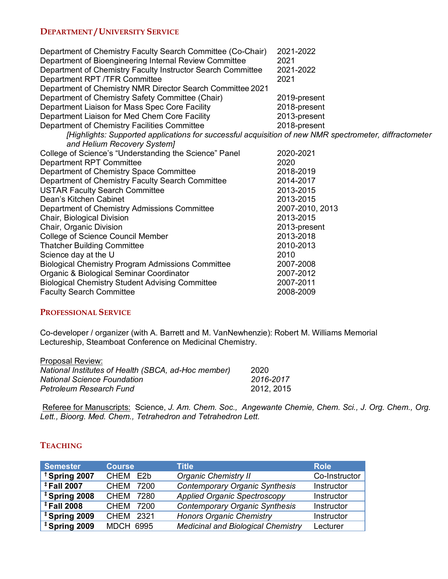# **DEPARTMENT / UNIVERSITY SERVICE**

| Department of Chemistry Faculty Search Committee (Co-Chair)                                                                           | 2021-2022       |
|---------------------------------------------------------------------------------------------------------------------------------------|-----------------|
| Department of Bioengineering Internal Review Committee                                                                                | 2021            |
| Department of Chemistry Faculty Instructor Search Committee                                                                           | 2021-2022       |
| Department RPT /TFR Committee                                                                                                         | 2021            |
| Department of Chemistry NMR Director Search Committee 2021                                                                            |                 |
| Department of Chemistry Safety Committee (Chair)                                                                                      | 2019-present    |
| Department Liaison for Mass Spec Core Facility                                                                                        | 2018-present    |
| Department Liaison for Med Chem Core Facility                                                                                         | 2013-present    |
| Department of Chemistry Facilities Committee                                                                                          | 2018-present    |
| [Highlights: Supported applications for successful acquisition of new NMR spectrometer, diffractometer<br>and Helium Recovery System] |                 |
| College of Science's "Understanding the Science" Panel                                                                                | 2020-2021       |
| <b>Department RPT Committee</b>                                                                                                       | 2020            |
| Department of Chemistry Space Committee                                                                                               | 2018-2019       |
| Department of Chemistry Faculty Search Committee                                                                                      | 2014-2017       |
| <b>USTAR Faculty Search Committee</b>                                                                                                 | 2013-2015       |
| Dean's Kitchen Cabinet                                                                                                                | 2013-2015       |
| Department of Chemistry Admissions Committee                                                                                          | 2007-2010, 2013 |
| Chair, Biological Division                                                                                                            | 2013-2015       |
| Chair, Organic Division                                                                                                               | 2013-present    |
| College of Science Council Member                                                                                                     | 2013-2018       |
| <b>Thatcher Building Committee</b>                                                                                                    | 2010-2013       |
| Science day at the U                                                                                                                  | 2010            |
| <b>Biological Chemistry Program Admissions Committee</b>                                                                              | 2007-2008       |
| Organic & Biological Seminar Coordinator                                                                                              | 2007-2012       |
| <b>Biological Chemistry Student Advising Committee</b>                                                                                | 2007-2011       |
| <b>Faculty Search Committee</b>                                                                                                       | 2008-2009       |

#### **PROFESSIONAL SERVICE**

Co-developer / organizer (with A. Barrett and M. VanNewhenzie): Robert M. Williams Memorial Lectureship, Steamboat Conference on Medicinal Chemistry.

| Proposal Review:                                    |            |
|-----------------------------------------------------|------------|
| National Institutes of Health (SBCA, ad-Hoc member) | 2020       |
| <b>National Science Foundation</b>                  | 2016-2017  |
| Petroleum Research Fund                             | 2012, 2015 |

Referee for Manuscripts: Science, *J. Am. Chem. Soc., Angewante Chemie, Chem. Sci., J. Org. Chem., Org. Lett., Bioorg. Med. Chem., Tetrahedron and Tetrahedron Lett.* 

# **TEACHING**

| <b>Semester</b>          | <b>Course</b>       | Title                                     | <b>Role</b>   |
|--------------------------|---------------------|-------------------------------------------|---------------|
| <sup>†</sup> Spring 2007 | CHEM E2b            | <b>Organic Chemistry II</b>               | Co-Instructor |
| <sup>‡</sup> Fall 2007   | <b>CHEM</b><br>7200 | <b>Contemporary Organic Synthesis</b>     | Instructor    |
| <sup>‡</sup> Spring 2008 | <b>CHEM</b><br>7280 | <b>Applied Organic Spectroscopy</b>       | Instructor    |
| <sup>‡</sup> Fall 2008   | <b>CHEM</b><br>7200 | <b>Contemporary Organic Synthesis</b>     | Instructor    |
| <sup>‡</sup> Spring 2009 | <b>CHEM</b><br>2321 | <b>Honors Organic Chemistry</b>           | Instructor    |
| <sup>‡</sup> Spring 2009 | <b>MDCH 6995</b>    | <b>Medicinal and Biological Chemistry</b> | Lecturer      |